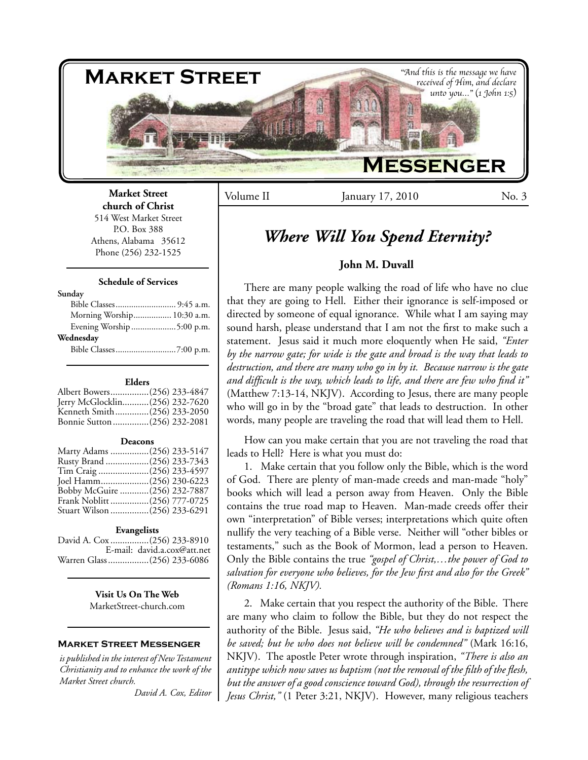

**Market Street church of Christ** 514 West Market Street P.O. Box 388 Athens, Alabama 35612 Phone (256) 232-1525

#### **Schedule of Services**

#### **Sunday**

| Morning Worship 10:30 a.m. |  |
|----------------------------|--|
| Evening Worship 5:00 p.m.  |  |
| Wednesday                  |  |
|                            |  |

#### **Elders**

| Albert Bowers(256) 233-4847    |  |
|--------------------------------|--|
| Jerry McGlocklin(256) 232-7620 |  |
| Kenneth Smith(256) 233-2050    |  |
| Bonnie Sutton (256) 232-2081   |  |

#### **Deacons**

| Marty Adams (256) 233-5147   |  |
|------------------------------|--|
| Rusty Brand (256) 233-7343   |  |
| Tim Craig (256) 233-4597     |  |
| Joel Hamm(256) 230-6223      |  |
| Bobby McGuire (256) 232-7887 |  |
| Frank Noblitt (256) 777-0725 |  |
| Stuart Wilson (256) 233-6291 |  |

#### **Evangelists**

David A. Cox ................(256) 233-8910 E-mail: david.a.cox@att.net Warren Glass.................(256) 233-6086

> **Visit Us On The Web** MarketStreet-church.com

#### **Market Street Messenger**

*is published in the interest of New Testament Christianity and to enhance the work of the Market Street church.*

*David A. Cox, Editor*

Volume II January 17, 2010 No. 3

# *Where Will You Spend Eternity?*

# **John M. Duvall**

There are many people walking the road of life who have no clue that they are going to Hell. Either their ignorance is self-imposed or directed by someone of equal ignorance. While what I am saying may sound harsh, please understand that I am not the first to make such a statement. Jesus said it much more eloquently when He said, *"Enter by the narrow gate; for wide is the gate and broad is the way that leads to destruction, and there are many who go in by it. Because narrow is the gate and difficult is the way, which leads to life, and there are few who find it"*  (Matthew 7:13-14, NKJV). According to Jesus, there are many people who will go in by the "broad gate" that leads to destruction. In other words, many people are traveling the road that will lead them to Hell.

How can you make certain that you are not traveling the road that leads to Hell? Here is what you must do:

1. Make certain that you follow only the Bible, which is the word of God. There are plenty of man-made creeds and man-made "holy" books which will lead a person away from Heaven. Only the Bible contains the true road map to Heaven. Man-made creeds offer their own "interpretation" of Bible verses; interpretations which quite often nullify the very teaching of a Bible verse. Neither will "other bibles or testaments," such as the Book of Mormon, lead a person to Heaven. Only the Bible contains the true *"gospel of Christ,…the power of God to salvation for everyone who believes, for the Jew first and also for the Greek" (Romans 1:16, NKJV).*

2. Make certain that you respect the authority of the Bible. There are many who claim to follow the Bible, but they do not respect the authority of the Bible. Jesus said, *"He who believes and is baptized will be saved; but he who does not believe will be condemned"* (Mark 16:16, NKJV). The apostle Peter wrote through inspiration, *"There is also an antitype which now saves us baptism (not the removal of the filth of the flesh, but the answer of a good conscience toward God), through the resurrection of Jesus Christ,"* (1 Peter 3:21, NKJV). However, many religious teachers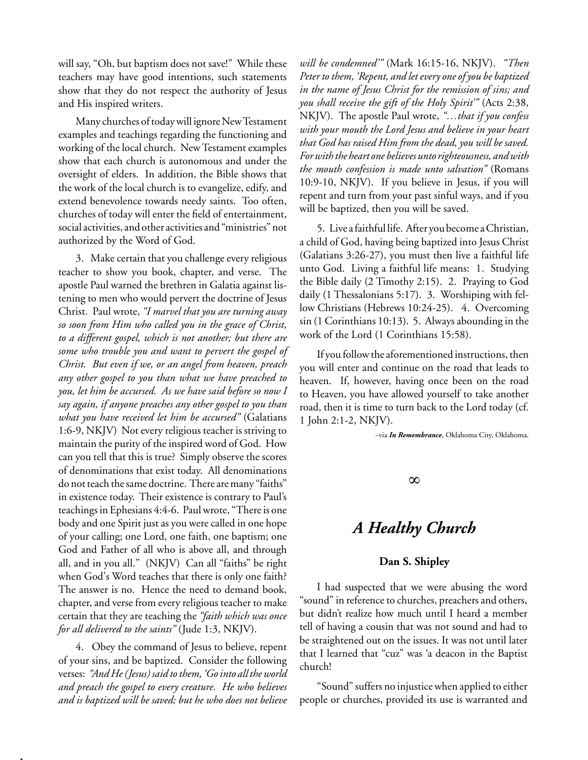will say, "Oh, but baptism does not save!" While these teachers may have good intentions, such statements show that they do not respect the authority of Jesus and His inspired writers.

Many churches of today will ignore New Testament examples and teachings regarding the functioning and working of the local church. New Testament examples show that each church is autonomous and under the oversight of elders. In addition, the Bible shows that the work of the local church is to evangelize, edify, and extend benevolence towards needy saints. Too often, churches of today will enter the field of entertainment, social activities, and other activities and "ministries" not authorized by the Word of God.

3. Make certain that you challenge every religious teacher to show you book, chapter, and verse. The apostle Paul warned the brethren in Galatia against listening to men who would pervert the doctrine of Jesus Christ. Paul wrote, *"I marvel that you are turning away so soon from Him who called you in the grace of Christ, to a different gospel, which is not another; but there are some who trouble you and want to pervert the gospel of Christ. But even if we, or an angel from heaven, preach any other gospel to you than what we have preached to you, let him be accursed. As we have said before so now I say again, if anyone preaches any other gospel to you than what you have received let him be accursed"* (Galatians 1:6-9, NKJV) Not every religious teacher is striving to maintain the purity of the inspired word of God. How can you tell that this is true? Simply observe the scores of denominations that exist today. All denominations do not teach the same doctrine. There are many "faiths" in existence today. Their existence is contrary to Paul's teachings in Ephesians 4:4-6. Paul wrote, "There is one body and one Spirit just as you were called in one hope of your calling; one Lord, one faith, one baptism; one God and Father of all who is above all, and through all, and in you all." (NKJV) Can all "faiths" be right when God's Word teaches that there is only one faith? The answer is no. Hence the need to demand book, chapter, and verse from every religious teacher to make certain that they are teaching the *"faith which was once for all delivered to the saints"* (Jude 1:3, NKJV).

4. Obey the command of Jesus to believe, repent of your sins, and be baptized. Consider the following verses: *"And He (Jesus) said to them, 'Go into all the world and preach the gospel to every creature. He who believes and is baptized will be saved; but he who does not believe* 

*Remember Our Study Periods*

*will be condemned'"* (Mark 16:15-16, NKJV). *"Then Peter to them, 'Repent, and let every one of you be baptized in the name of Jesus Christ for the remission of sins; and you shall receive the gift of the Holy Spirit'"* (Acts 2:38, NKJV). The apostle Paul wrote, *"…that if you confess with your mouth the Lord Jesus and believe in your heart that God has raised Him from the dead, you will be saved. For with the heart one believes unto righteousness, and with the mouth confession is made unto salvation"* (Romans 10:9-10, NKJV). If you believe in Jesus, if you will repent and turn from your past sinful ways, and if you will be baptized, then you will be saved.

5. Live a faithful life. After you become a Christian, a child of God, having being baptized into Jesus Christ (Galatians 3:26-27), you must then live a faithful life unto God. Living a faithful life means: 1. Studying the Bible daily (2 Timothy 2:15). 2. Praying to God daily (1 Thessalonians 5:17). 3. Worshiping with fellow Christians (Hebrews 10:24-25). 4. Overcoming sin (1 Corinthians 10:13). 5. Always abounding in the work of the Lord (1 Corinthians 15:58).

If you follow the aforementioned instructions, then you will enter and continue on the road that leads to heaven. If, however, having once been on the road to Heaven, you have allowed yourself to take another road, then it is time to turn back to the Lord today (cf. 1 John 2:1-2, NKJV).

~via *In Remembrance*, Oklahoma City, Oklahoma.

∞

# *A Healthy Church*

# **Dan S. Shipley**

I had suspected that we were abusing the word "sound" in reference to churches, preachers and others, but didn't realize how much until I heard a member tell of having a cousin that was not sound and had to be straightened out on the issues. It was not until later that I learned that "cuz" was 'a deacon in the Baptist church!

"Sound" suffers no injustice when applied to either people or churches, provided its use is warranted and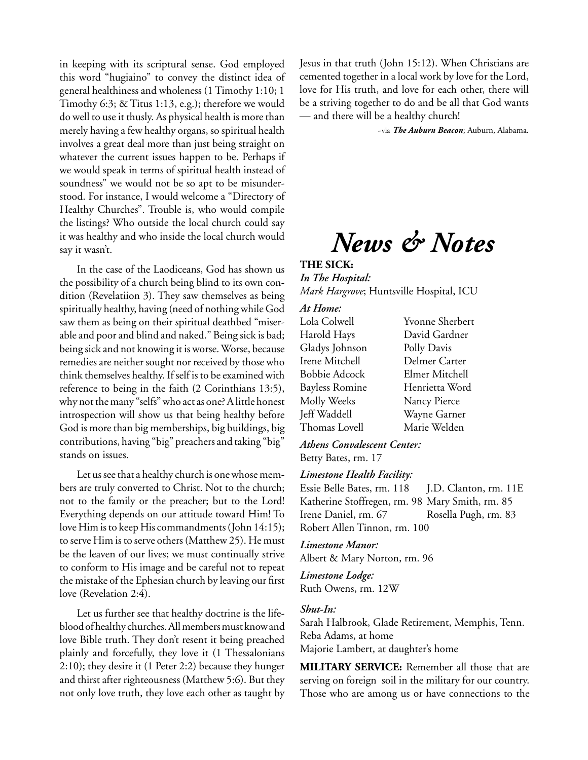in keeping with its scriptural sense. God employed this word "hugiaino" to convey the distinct idea of general healthiness and wholeness (1 Timothy 1:10; 1 Timothy 6:3; & Titus 1:13, e.g.); therefore we would do well to use it thusly. As physical health is more than merely having a few healthy organs, so spiritual health involves a great deal more than just being straight on whatever the current issues happen to be. Perhaps if we would speak in terms of spiritual health instead of soundness" we would not be so apt to be misunderstood. For instance, I would welcome a "Directory of Healthy Churches". Trouble is, who would compile the listings? Who outside the local church could say it was healthy and who inside the local church would say it wasn't.

In the case of the Laodiceans, God has shown us the possibility of a church being blind to its own condition (Revelatiion 3). They saw themselves as being spiritually healthy, having (need of nothing while God saw them as being on their spiritual deathbed "miserable and poor and blind and naked." Being sick is bad; being sick and not knowing it is worse. Worse, because remedies are neither sought nor received by those who think themselves healthy. If self is to be examined with reference to being in the faith (2 Corinthians 13:5), why not the many "selfs" who act as one? A little honest introspection will show us that being healthy before God is more than big memberships, big buildings, big contributions, having "big" preachers and taking "big" stands on issues.

Let us see that a healthy church is one whose members are truly converted to Christ. Not to the church; not to the family or the preacher; but to the Lord! Everything depends on our attitude toward Him! To love Him is to keep His commandments (John 14:15); to serve Him is to serve others (Matthew 25). He must be the leaven of our lives; we must continually strive to conform to His image and be careful not to repeat the mistake of the Ephesian church by leaving our first love (Revelation 2:4).

Let us further see that healthy doctrine is the lifeblood of healthy churches. All members must know and love Bible truth. They don't resent it being preached plainly and forcefully, they love it (1 Thessalonians 2:10); they desire it (1 Peter 2:2) because they hunger and thirst after righteousness (Matthew 5:6). But they not only love truth, they love each other as taught by Jesus in that truth (John 15:12). When Christians are cemented together in a local work by love for the Lord, love for His truth, and love for each other, there will be a striving together to do and be all that God wants — and there will be a healthy church!

~via *The Auburn Beacon*; Auburn, Alabama.

# *News & Notes*

# **THE SICK:**

*In The Hospital: Mark Hargrove*; Huntsville Hospital, ICU

# *At Home:*

| Lola Colwell   | <b>Yvonne Sherbert</b> |
|----------------|------------------------|
| Harold Hays    | David Gardner          |
| Gladys Johnson | Polly Davis            |
| Irene Mitchell | Delmer Carter          |
| Bobbie Adcock  | Elmer Mitchell         |
| Bayless Romine | Henrietta Word         |
| Molly Weeks    | Nancy Pierce           |
| Jeff Waddell   | Wayne Garner           |
| Thomas Lovell  | Marie Welden           |

*Athens Convalescent Center:* Betty Bates, rm. 17

## *Limestone Health Facility:*

Essie Belle Bates, rm. 118 J.D. Clanton, rm. 11E Katherine Stoffregen, rm. 98 Mary Smith, rm. 85 Irene Daniel, rm. 67 Rosella Pugh, rm. 83 Robert Allen Tinnon, rm. 100

## *Limestone Manor:*

Albert & Mary Norton, rm. 96

*Limestone Lodge:* Ruth Owens, rm. 12W

# *Shut-In:*

Sarah Halbrook, Glade Retirement, Memphis, Tenn. Reba Adams, at home Majorie Lambert, at daughter's home

**MILITARY SERVICE:** Remember all those that are serving on foreign soil in the military for our country. Those who are among us or have connections to the